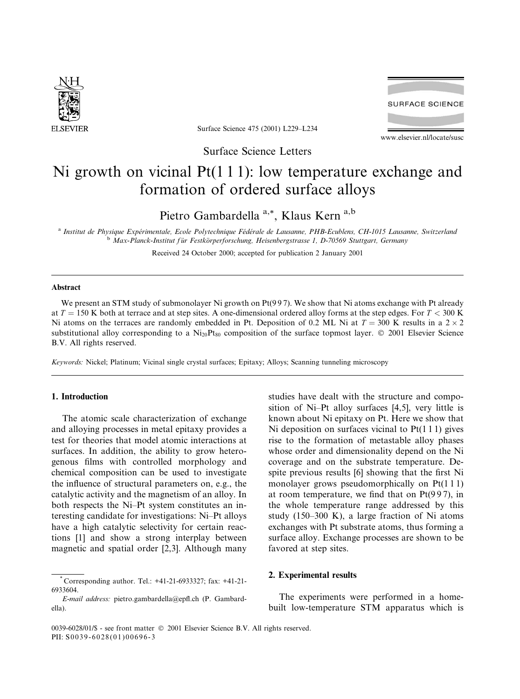

Surface Science 475 (2001) L229-L234

**SURFACE SCIENCE** 

www.elsevier.nl/locate/susc

Surface Science Letters

# Ni growth on vicinal  $Pt(111)$ : low temperature exchange and formation of ordered surface alloys

Pietro Gambardella<sup>a,\*</sup>, Klaus Kern<sup>a,b</sup>

<sup>a</sup> Institut de Physique Expérimentale, Ecole Polytechnique Fédérale de Lausanne, PHB-Ecublens, CH-1015 Lausanne, Switzerland <sup>b</sup> Max-Planck-Institut für Festkörperforschung, Heisenbergstrasse 1, D-70569 Stuttgart, Germany

Received 24 October 2000; accepted for publication 2 January 2001

### **Abstract**

We present an STM study of submonolayer Ni growth on  $Pt(997)$ . We show that Ni atoms exchange with Pt already at  $T = 150$  K both at terrace and at step sites. A one-dimensional ordered alloy forms at the step edges. For  $T < 300$  K Ni atoms on the terraces are randomly embedded in Pt. Deposition of 0.2 ML Ni at  $T = 300$  K results in a  $2 \times 2$ substitutional alloy corresponding to a  $Ni_{20}Pt_{80}$  composition of the surface topmost layer. © 2001 Elsevier Science B.V. All rights reserved.

Keywords: Nickel; Platinum; Vicinal single crystal surfaces; Epitaxy; Alloys; Scanning tunneling microscopy

# 1. Introduction

The atomic scale characterization of exchange and alloying processes in metal epitaxy provides a test for theories that model atomic interactions at surfaces. In addition, the ability to grow heterogenous films with controlled morphology and chemical composition can be used to investigate the influence of structural parameters on, e.g., the catalytic activity and the magnetism of an alloy. In both respects the Ni-Pt system constitutes an interesting candidate for investigations: Ni-Pt alloys have a high catalytic selectivity for certain reactions [1] and show a strong interplay between magnetic and spatial order [2,3]. Although many studies have dealt with the structure and composition of Ni-Pt alloy surfaces [4,5], very little is known about Ni epitaxy on Pt. Here we show that Ni deposition on surfaces vicinal to  $Pt(111)$  gives rise to the formation of metastable alloy phases whose order and dimensionality depend on the Ni coverage and on the substrate temperature. Despite previous results [6] showing that the first Ni monolayer grows pseudomorphically on Pt(111) at room temperature, we find that on  $Pt(997)$ , in the whole temperature range addressed by this study  $(150-300 \text{ K})$ , a large fraction of Ni atoms exchanges with Pt substrate atoms, thus forming a surface alloy. Exchange processes are shown to be favored at step sites.

## 2. Experimental results

The experiments were performed in a homebuilt low-temperature STM apparatus which is

Corresponding author. Tel.: +41-21-6933327; fax: +41-21-6933604.

E-mail address: pietro.gambardella@epfl.ch (P. Gambardella).

<sup>0039-6028/01/\$ -</sup> see front matter © 2001 Elsevier Science B.V. All rights reserved. PII: S0039-6028(01)00696-3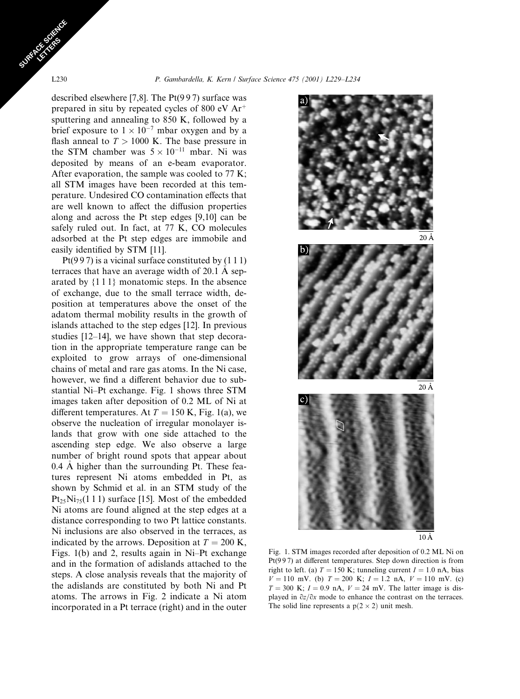described elsewhere [7,8]. The  $Pt(997)$  surface was prepared in situ by repeated cycles of 800 eV Ar<sup>+</sup> sputtering and annealing to 850 K, followed by a brief exposure to  $1 \times 10^{-7}$  mbar oxygen and by a flash anneal to  $T > 1000$  K. The base pressure in the STM chamber was  $5 \times 10^{-11}$  mbar. Ni was deposited by means of an e-beam evaporator. After evaporation, the sample was cooled to 77 K; all STM images have been recorded at this temperature. Undesired CO contamination effects that are well known to affect the diffusion properties along and across the Pt step edges  $[9,10]$  can be safely ruled out. In fact, at 77 K, CO molecules adsorbed at the Pt step edges are immobile and easily identified by STM [11].

 $Pt(997)$  is a vicinal surface constituted by  $(111)$ terraces that have an average width of 20.1 Å separated by  $\{1\,1\}$  monatomic steps. In the absence of exchange, due to the small terrace width, deposition at temperatures above the onset of the adatom thermal mobility results in the growth of islands attached to the step edges [12]. In previous studies  $[12-14]$ , we have shown that step decoration in the appropriate temperature range can be exploited to grow arrays of one-dimensional chains of metal and rare gas atoms. In the Ni case, however, we find a different behavior due to substantial Ni-Pt exchange. Fig. 1 shows three STM images taken after deposition of 0.2 ML of Ni at different temperatures. At  $T = 150$  K, Fig. 1(a), we observe the nucleation of irregular monolayer islands that grow with one side attached to the ascending step edge. We also observe a large number of bright round spots that appear about 0.4 A higher than the surrounding Pt. These features represent Ni atoms embedded in Pt, as shown by Schmid et al. in an STM study of the  $Pt_{25}Ni_{75}(111)$  surface [15]. Most of the embedded Ni atoms are found aligned at the step edges at a distance corresponding to two Pt lattice constants. Ni inclusions are also observed in the terraces, as indicated by the arrows. Deposition at  $T = 200$  K, Figs. 1(b) and 2, results again in Ni-Pt exchange and in the formation of adislands attached to the steps. A close analysis reveals that the majority of the adislands are constituted by both Ni and Pt atoms. The arrows in Fig. 2 indicate a Ni atom incorporated in a Pt terrace (right) and in the outer



 $10 \text{ Å}$ 

Fig. 1. STM images recorded after deposition of 0.2 ML Ni on  $Pt(997)$  at different temperatures. Step down direction is from right to left. (a)  $T = 150$  K; tunneling current  $I = 1.0$  nA, bias  $V = 110$  mV. (b)  $T = 200$  K;  $I = 1.2$  nA,  $V = 110$  mV. (c)  $T = 300$  K;  $I = 0.9$  nA,  $V = 24$  mV. The latter image is displayed in  $\partial z/\partial x$  mode to enhance the contrast on the terraces. The solid line represents a  $p(2 \times 2)$  unit mesh.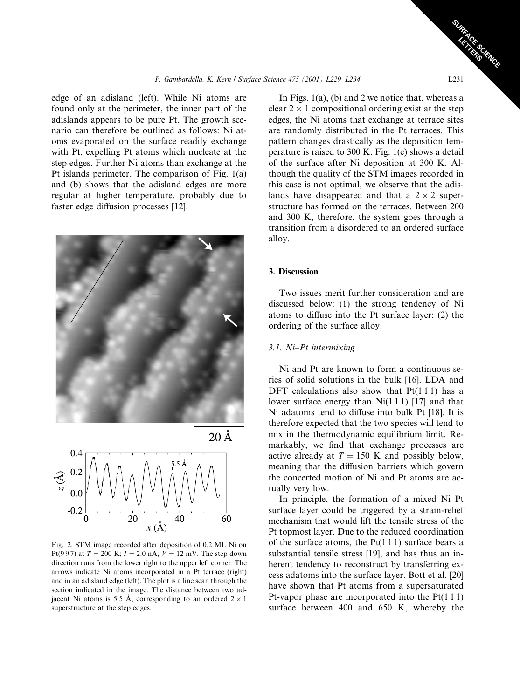edge of an adisland (left). While Ni atoms are found only at the perimeter, the inner part of the adislands appears to be pure Pt. The growth scenario can therefore be outlined as follows: Ni atoms evaporated on the surface readily exchange with Pt, expelling Pt atoms which nucleate at the step edges. Further Ni atoms than exchange at the Pt islands perimeter. The comparison of Fig.  $1(a)$ and (b) shows that the adisland edges are more regular at higher temperature, probably due to faster edge diffusion processes [12].





Fig. 2. STM image recorded after deposition of 0.2 ML Ni on Pt(997) at  $T = 200$  K;  $I = 2.0$  nA,  $V = 12$  mV. The step down direction runs from the lower right to the upper left corner. The arrows indicate Ni atoms incorporated in a Pt terrace (right) and in an adisland edge (left). The plot is a line scan through the section indicated in the image. The distance between two adjacent Ni atoms is 5.5 Å, corresponding to an ordered  $2 \times 1$ superstructure at the step edges.

In Figs.  $1(a)$ , (b) and 2 we notice that, whereas a clear  $2 \times 1$  compositional ordering exist at the step edges, the Ni atoms that exchange at terrace sites are randomly distributed in the Pt terraces. This pattern changes drastically as the deposition temperature is raised to 300 K. Fig. 1(c) shows a detail of the surface after Ni deposition at 300 K. Although the quality of the STM images recorded in this case is not optimal, we observe that the adislands have disappeared and that a  $2 \times 2$  superstructure has formed on the terraces. Between 200 and 300 K, therefore, the system goes through a transition from a disordered to an ordered surface alloy.

## 3. Discussion

Two issues merit further consideration and are discussed below: (1) the strong tendency of Ni atoms to diffuse into the Pt surface layer; (2) the ordering of the surface alloy.

# 3.1. Ni-Pt intermixing

Ni and Pt are known to form a continuous series of solid solutions in the bulk [16]. LDA and DFT calculations also show that  $Pt(111)$  has a lower surface energy than  $Ni(1\ 11)$  [17] and that Ni adatoms tend to diffuse into bulk Pt [18]. It is therefore expected that the two species will tend to mix in the thermodynamic equilibrium limit. Remarkably, we find that exchange processes are active already at  $T = 150$  K and possibly below, meaning that the diffusion barriers which govern the concerted motion of Ni and Pt atoms are actually very low.

In principle, the formation of a mixed Ni-Pt surface layer could be triggered by a strain-relief mechanism that would lift the tensile stress of the Pt topmost layer. Due to the reduced coordination of the surface atoms, the  $Pt(111)$  surface bears a substantial tensile stress [19], and has thus an inherent tendency to reconstruct by transferring excess adatoms into the surface layer. Bott et al. [20] have shown that Pt atoms from a supersaturated Pt-vapor phase are incorporated into the  $Pt(111)$ surface between 400 and 650 K, whereby the

L231

**RACIFICATION**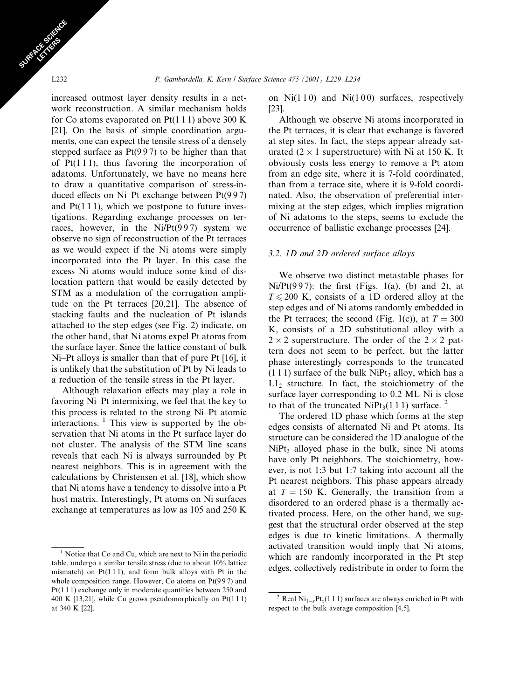increased outmost layer density results in a network reconstruction. A similar mechanism holds for Co atoms evaporated on  $Pt(1\ 1\ 1)$  above 300 K [21]. On the basis of simple coordination arguments, one can expect the tensile stress of a densely stepped surface as  $Pt(997)$  to be higher than that of  $Pt(111)$ , thus favoring the incorporation of adatoms. Unfortunately, we have no means here to draw a quantitative comparison of stress-induced effects on Ni–Pt exchange between  $Pt(997)$ and  $Pt(111)$ , which we postpone to future investigations. Regarding exchange processes on terraces, however, in the  $Ni/Pt(997)$  system we observe no sign of reconstruction of the Pt terraces as we would expect if the Ni atoms were simply incorporated into the Pt layer. In this case the excess Ni atoms would induce some kind of dislocation pattern that would be easily detected by STM as a modulation of the corrugation amplitude on the Pt terraces [20,21]. The absence of stacking faults and the nucleation of Pt islands attached to the step edges (see Fig. 2) indicate, on the other hand, that Ni atoms expel Pt atoms from the surface layer. Since the lattice constant of bulk Ni-Pt alloys is smaller than that of pure Pt [16], it is unlikely that the substitution of Pt by Ni leads to a reduction of the tensile stress in the Pt layer.

Although relaxation effects may play a role in favoring Ni-Pt intermixing, we feel that the key to this process is related to the strong Ni-Pt atomic interactions.  $\frac{1}{1}$  This view is supported by the observation that Ni atoms in the Pt surface layer do not cluster. The analysis of the STM line scans reveals that each Ni is always surrounded by Pt nearest neighbors. This is in agreement with the calculations by Christensen et al. [18], which show that Ni atoms have a tendency to dissolve into a Pt host matrix. Interestingly, Pt atoms on Ni surfaces exchange at temperatures as low as 105 and 250 K

on  $Ni(110)$  and  $Ni(100)$  surfaces, respectively  $[23]$ .

Although we observe Ni atoms incorporated in the Pt terraces, it is clear that exchange is favored at step sites. In fact, the steps appear already saturated  $(2 \times 1$  superstructure) with Ni at 150 K. It obviously costs less energy to remove a Pt atom from an edge site, where it is 7-fold coordinated, than from a terrace site, where it is 9-fold coordinated. Also, the observation of preferential intermixing at the step edges, which implies migration of Ni adatoms to the steps, seems to exclude the occurrence of ballistic exchange processes [24].

### 3.2. 1D and 2D ordered surface alloys

We observe two distinct metastable phases for  $Ni/Pt(997)$ : the first (Figs. 1(a), (b) and 2), at  $T \le 200$  K, consists of a 1D ordered alloy at the step edges and of Ni atoms randomly embedded in the Pt terraces; the second (Fig. 1(c)), at  $T = 300$ K, consists of a 2D substitutional alloy with a  $2 \times 2$  superstructure. The order of the  $2 \times 2$  pattern does not seem to be perfect, but the latter phase interestingly corresponds to the truncated  $(111)$  surface of the bulk NiPt<sub>3</sub> alloy, which has a  $L1<sub>2</sub>$  structure. In fact, the stoichiometry of the surface layer corresponding to 0.2 ML Ni is close to that of the truncated NiPt<sub>3</sub>(111) surface. <sup>2</sup>

The ordered 1D phase which forms at the step edges consists of alternated Ni and Pt atoms. Its structure can be considered the 1D analogue of the NiPt<sub>3</sub> alloyed phase in the bulk, since Ni atoms have only Pt neighbors. The stoichiometry, however, is not 1:3 but 1:7 taking into account all the Pt nearest neighbors. This phase appears already at  $T = 150$  K. Generally, the transition from a disordered to an ordered phase is a thermally activated process. Here, on the other hand, we suggest that the structural order observed at the step edges is due to kinetic limitations. A thermally activated transition would imply that Ni atoms, which are randomly incorporated in the Pt step edges, collectively redistribute in order to form the

<sup>&</sup>lt;sup>1</sup> Notice that Co and Cu, which are next to Ni in the periodic table, undergo a similar tensile stress (due to about 10% lattice mismatch) on  $Pt(111)$ , and form bulk alloys with Pt in the whole composition range. However, Co atoms on  $Pt(997)$  and  $Pt(111)$  exchange only in moderate quantities between 250 and 400 K [13,21], while Cu grows pseudomorphically on  $Pt(111)$ at 340 K [22].

<sup>&</sup>lt;sup>2</sup> Real Ni<sub>1-x</sub>Pt<sub>x</sub>(1 1 1) surfaces are always enriched in Pt with respect to the bulk average composition [4,5].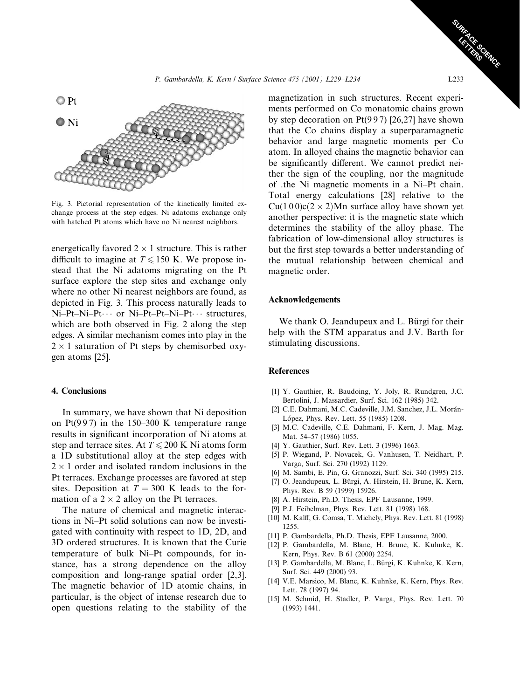

Fig. 3. Pictorial representation of the kinetically limited exchange process at the step edges. Ni adatoms exchange only with hatched Pt atoms which have no Ni nearest neighbors.

energetically favored  $2 \times 1$  structure. This is rather difficult to imagine at  $T \le 150$  K. We propose instead that the Ni adatoms migrating on the Pt surface explore the step sites and exchange only where no other Ni nearest neighbors are found, as depicted in Fig. 3. This process naturally leads to Ni-Pt-Ni-Pt… or Ni-Pt-Pt-Ni-Pt… structures, which are both observed in Fig. 2 along the step edges. A similar mechanism comes into play in the  $2 \times 1$  saturation of Pt steps by chemisorbed oxygen atoms [25].

## 4. Conclusions

In summary, we have shown that Ni deposition on Pt(997) in the 150–300 K temperature range results in significant incorporation of Ni atoms at step and terrace sites. At  $T \le 200$  K Ni atoms form a 1D substitutional alloy at the step edges with  $2 \times 1$  order and isolated random inclusions in the Pt terraces. Exchange processes are favored at step sites. Deposition at  $T = 300$  K leads to the formation of a  $2 \times 2$  alloy on the Pt terraces.

The nature of chemical and magnetic interactions in Ni-Pt solid solutions can now be investigated with continuity with respect to 1D, 2D, and 3D ordered structures. It is known that the Curie temperature of bulk Ni-Pt compounds, for instance, has a strong dependence on the alloy composition and long-range spatial order [2,3]. The magnetic behavior of 1D atomic chains, in particular, is the object of intense research due to open questions relating to the stability of the magnetization in such structures. Recent experiments performed on Co monatomic chains grown by step decoration on  $Pt(997)$  [26,27] have shown that the Co chains display a superparamagnetic behavior and large magnetic moments per Co atom. In alloyed chains the magnetic behavior can be significantly different. We cannot predict neither the sign of the coupling, nor the magnitude of .the Ni magnetic moments in a Ni-Pt chain. Total energy calculations [28] relative to the  $Cu(100)c(2 \times 2)Mn$  surface alloy have shown yet another perspective: it is the magnetic state which determines the stability of the alloy phase. The fabrication of low-dimensional alloy structures is but the first step towards a better understanding of the mutual relationship between chemical and magnetic order.

#### **Acknowledgements**

We thank O. Jeandupeux and L. Bürgi for their help with the STM apparatus and J.V. Barth for stimulating discussions.

## **References**

- [1] Y. Gauthier, R. Baudoing, Y. Joly, R. Rundgren, J.C. Bertolini, J. Massardier, Surf. Sci. 162 (1985) 342.
- [2] C.E. Dahmani, M.C. Cadeville, J.M. Sanchez, J.L. Morán-López, Phys. Rev. Lett. 55 (1985) 1208.
- [3] M.C. Cadeville, C.E. Dahmani, F. Kern, J. Mag. Mag. Mat. 54-57 (1986) 1055.
- [4] Y. Gauthier, Surf. Rev. Lett. 3 (1996) 1663.
- [5] P. Wiegand, P. Novacek, G. Vanhusen, T. Neidhart, P. Varga, Surf. Sci. 270 (1992) 1129.
- [6] M. Sambi, E. Pin, G. Granozzi, Surf. Sci. 340 (1995) 215.
- [7] O. Jeandupeux, L. Bürgi, A. Hirstein, H. Brune, K. Kern, Phys. Rev. B 59 (1999) 15926.
- [8] A. Hirstein, Ph.D. Thesis, EPF Lausanne, 1999.
- [9] P.J. Feibelman, Phys. Rev. Lett. 81 (1998) 168.
- [10] M. Kalff, G. Comsa, T. Michely, Phys. Rev. Lett. 81 (1998) 1255
- [11] P. Gambardella, Ph.D. Thesis, EPF Lausanne, 2000.
- [12] P. Gambardella, M. Blanc, H. Brune, K. Kuhnke, K. Kern, Phys. Rev. B 61 (2000) 2254.
- [13] P. Gambardella, M. Blanc, L. Bürgi, K. Kuhnke, K. Kern, Surf. Sci. 449 (2000) 93.
- [14] V.E. Marsico, M. Blanc, K. Kuhnke, K. Kern, Phys. Rev. Lett. 78 (1997) 94.
- [15] M. Schmid, H. Stadler, P. Varga, Phys. Rev. Lett. 70  $(1993)$  1441.

**Care City**